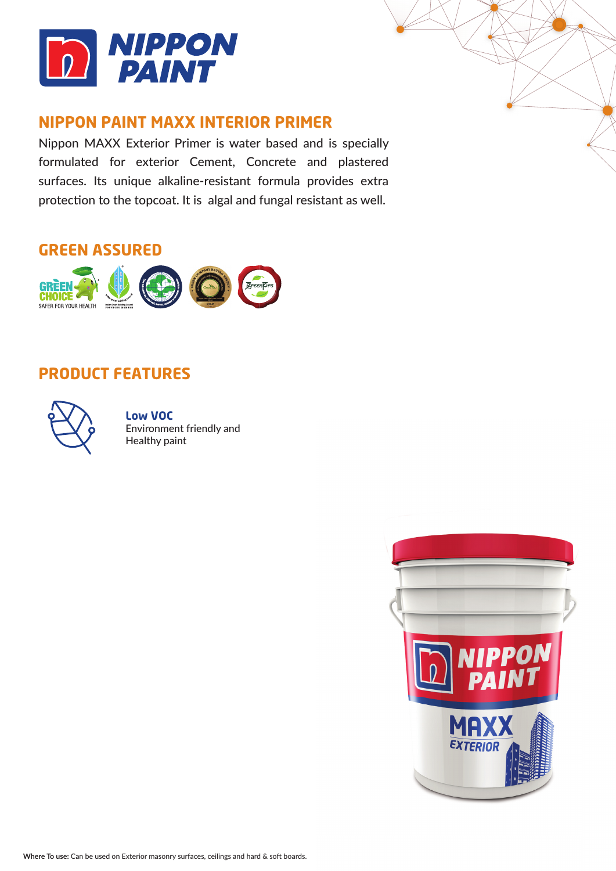

### **NIPPON PAINT MAXX INTERIOR PRIMER**

Nippon MAXX Exterior Primer is water based and is specially formulated for exterior Cement, Concrete and plastered surfaces. Its unique alkaline-resistant formula provides extra protection to the topcoat. It is algal and fungal resistant as well.

### **GREEN ASSURED**



### **PRODUCT FEATURES**



**Low VOC** Environment friendly and Healthy paint